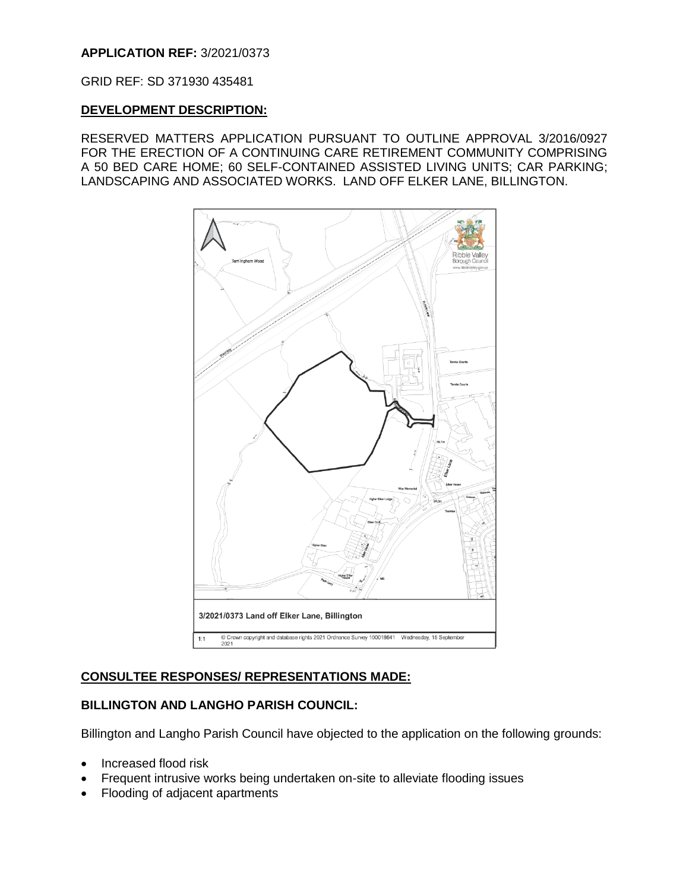## **APPLICATION REF:** 3/2021/0373

GRID REF: SD 371930 435481

#### **DEVELOPMENT DESCRIPTION:**

RESERVED MATTERS APPLICATION PURSUANT TO OUTLINE APPROVAL 3/2016/0927 FOR THE ERECTION OF A CONTINUING CARE RETIREMENT COMMUNITY COMPRISING A 50 BED CARE HOME; 60 SELF-CONTAINED ASSISTED LIVING UNITS; CAR PARKING; LANDSCAPING AND ASSOCIATED WORKS. LAND OFF ELKER LANE, BILLINGTON.



## **CONSULTEE RESPONSES/ REPRESENTATIONS MADE:**

## **BILLINGTON AND LANGHO PARISH COUNCIL:**

Billington and Langho Parish Council have objected to the application on the following grounds:

- Increased flood risk
- Frequent intrusive works being undertaken on-site to alleviate flooding issues
- Flooding of adjacent apartments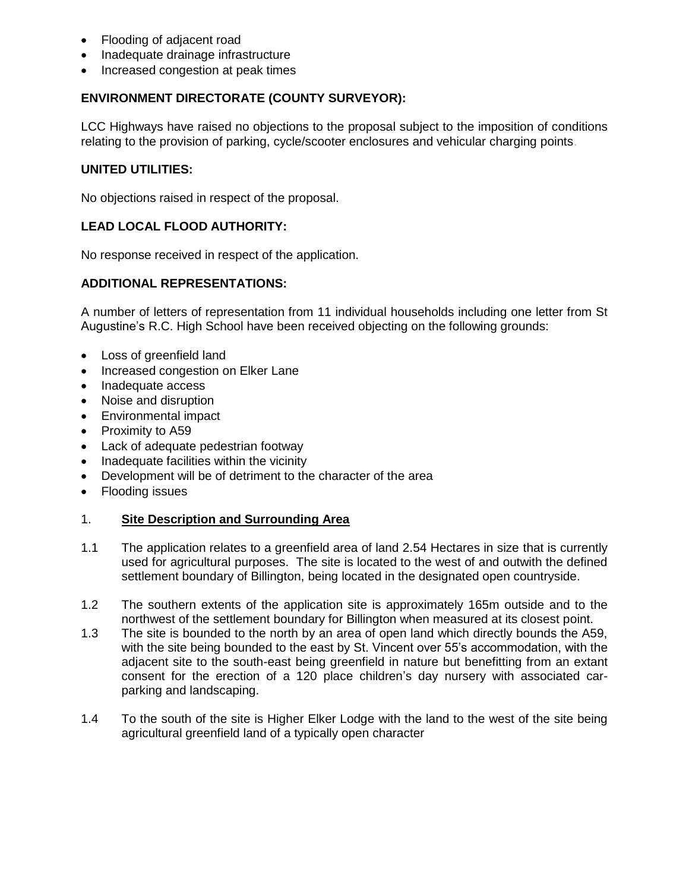- Flooding of adjacent road
- Inadequate drainage infrastructure
- Increased congestion at peak times

## **ENVIRONMENT DIRECTORATE (COUNTY SURVEYOR):**

LCC Highways have raised no objections to the proposal subject to the imposition of conditions relating to the provision of parking, cycle/scooter enclosures and vehicular charging points.

## **UNITED UTILITIES:**

No objections raised in respect of the proposal.

## **LEAD LOCAL FLOOD AUTHORITY:**

No response received in respect of the application.

## **ADDITIONAL REPRESENTATIONS:**

A number of letters of representation from 11 individual households including one letter from St Augustine's R.C. High School have been received objecting on the following grounds:

- Loss of greenfield land
- Increased congestion on Elker Lane
- Inadequate access
- Noise and disruption
- Environmental impact
- Proximity to A59
- Lack of adequate pedestrian footway
- Inadequate facilities within the vicinity
- Development will be of detriment to the character of the area
- Flooding issues

## 1. **Site Description and Surrounding Area**

- 1.1 The application relates to a greenfield area of land 2.54 Hectares in size that is currently used for agricultural purposes. The site is located to the west of and outwith the defined settlement boundary of Billington, being located in the designated open countryside.
- 1.2 The southern extents of the application site is approximately 165m outside and to the northwest of the settlement boundary for Billington when measured at its closest point.
- 1.3 The site is bounded to the north by an area of open land which directly bounds the A59, with the site being bounded to the east by St. Vincent over 55's accommodation, with the adjacent site to the south-east being greenfield in nature but benefitting from an extant consent for the erection of a 120 place children's day nursery with associated carparking and landscaping.
- 1.4 To the south of the site is Higher Elker Lodge with the land to the west of the site being agricultural greenfield land of a typically open character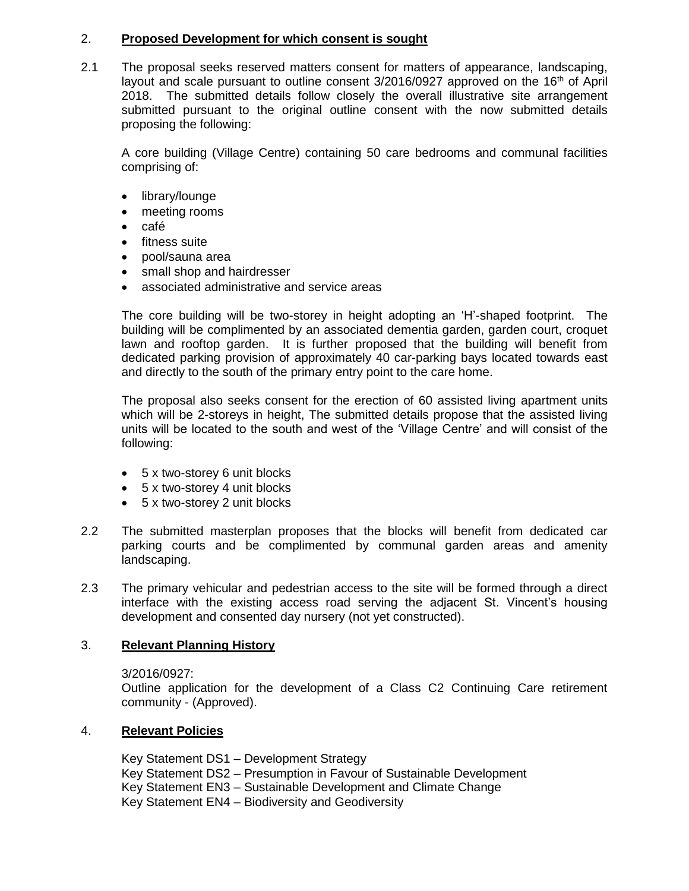#### 2. **Proposed Development for which consent is sought**

2.1 The proposal seeks reserved matters consent for matters of appearance, landscaping, layout and scale pursuant to outline consent  $3/2016/0927$  approved on the 16<sup>th</sup> of April 2018. The submitted details follow closely the overall illustrative site arrangement submitted pursuant to the original outline consent with the now submitted details proposing the following:

A core building (Village Centre) containing 50 care bedrooms and communal facilities comprising of:

- library/lounge
- meeting rooms
- $\bullet$  café
- fitness suite
- pool/sauna area
- small shop and hairdresser
- associated administrative and service areas

The core building will be two-storey in height adopting an 'H'-shaped footprint. The building will be complimented by an associated dementia garden, garden court, croquet lawn and rooftop garden. It is further proposed that the building will benefit from dedicated parking provision of approximately 40 car-parking bays located towards east and directly to the south of the primary entry point to the care home.

The proposal also seeks consent for the erection of 60 assisted living apartment units which will be 2-storeys in height, The submitted details propose that the assisted living units will be located to the south and west of the 'Village Centre' and will consist of the following:

- 5 x two-storey 6 unit blocks
- 5 x two-storey 4 unit blocks
- 5 x two-storey 2 unit blocks
- 2.2 The submitted masterplan proposes that the blocks will benefit from dedicated car parking courts and be complimented by communal garden areas and amenity landscaping.
- 2.3 The primary vehicular and pedestrian access to the site will be formed through a direct interface with the existing access road serving the adjacent St. Vincent's housing development and consented day nursery (not yet constructed).

## 3. **Relevant Planning History**

3/2016/0927:

Outline application for the development of a Class C2 Continuing Care retirement community - (Approved).

## 4. **Relevant Policies**

Key Statement DS1 – Development Strategy Key Statement DS2 – Presumption in Favour of Sustainable Development Key Statement EN3 – Sustainable Development and Climate Change Key Statement EN4 – Biodiversity and Geodiversity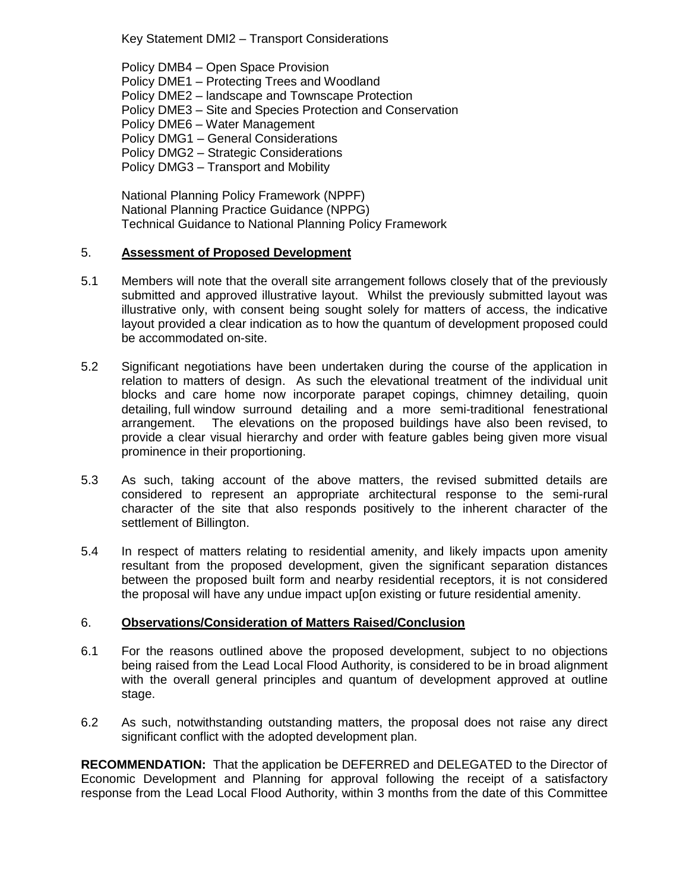Key Statement DMI2 – Transport Considerations

Policy DMB4 – Open Space Provision Policy DME1 – Protecting Trees and Woodland Policy DME2 – landscape and Townscape Protection Policy DME3 – Site and Species Protection and Conservation Policy DME6 – Water Management Policy DMG1 – General Considerations Policy DMG2 – Strategic Considerations Policy DMG3 – Transport and Mobility

National Planning Policy Framework (NPPF) National Planning Practice Guidance (NPPG) Technical Guidance to National Planning Policy Framework

#### 5. **Assessment of Proposed Development**

- 5.1 Members will note that the overall site arrangement follows closely that of the previously submitted and approved illustrative layout. Whilst the previously submitted layout was illustrative only, with consent being sought solely for matters of access, the indicative layout provided a clear indication as to how the quantum of development proposed could be accommodated on-site.
- 5.2 Significant negotiations have been undertaken during the course of the application in relation to matters of design. As such the elevational treatment of the individual unit blocks and care home now incorporate parapet copings, chimney detailing, quoin detailing, full window surround detailing and a more semi-traditional fenestrational arrangement. The elevations on the proposed buildings have also been revised, to provide a clear visual hierarchy and order with feature gables being given more visual prominence in their proportioning.
- 5.3 As such, taking account of the above matters, the revised submitted details are considered to represent an appropriate architectural response to the semi-rural character of the site that also responds positively to the inherent character of the settlement of Billington.
- 5.4 In respect of matters relating to residential amenity, and likely impacts upon amenity resultant from the proposed development, given the significant separation distances between the proposed built form and nearby residential receptors, it is not considered the proposal will have any undue impact up[on existing or future residential amenity.

#### 6. **Observations/Consideration of Matters Raised/Conclusion**

- 6.1 For the reasons outlined above the proposed development, subject to no objections being raised from the Lead Local Flood Authority, is considered to be in broad alignment with the overall general principles and quantum of development approved at outline stage.
- 6.2 As such, notwithstanding outstanding matters, the proposal does not raise any direct significant conflict with the adopted development plan.

**RECOMMENDATION:** That the application be DEFERRED and DELEGATED to the Director of Economic Development and Planning for approval following the receipt of a satisfactory response from the Lead Local Flood Authority, within 3 months from the date of this Committee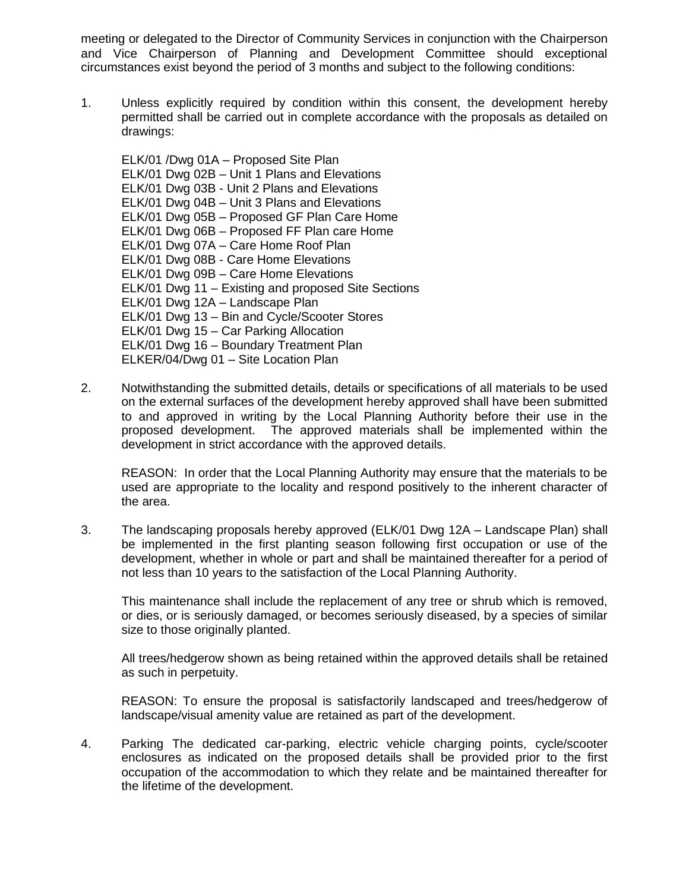meeting or delegated to the Director of Community Services in conjunction with the Chairperson and Vice Chairperson of Planning and Development Committee should exceptional circumstances exist beyond the period of 3 months and subject to the following conditions:

1. Unless explicitly required by condition within this consent, the development hereby permitted shall be carried out in complete accordance with the proposals as detailed on drawings:

ELK/01 /Dwg 01A – Proposed Site Plan ELK/01 Dwg 02B – Unit 1 Plans and Elevations ELK/01 Dwg 03B - Unit 2 Plans and Elevations ELK/01 Dwg 04B – Unit 3 Plans and Elevations ELK/01 Dwg 05B – Proposed GF Plan Care Home ELK/01 Dwg 06B – Proposed FF Plan care Home ELK/01 Dwg 07A – Care Home Roof Plan ELK/01 Dwg 08B - Care Home Elevations ELK/01 Dwg 09B – Care Home Elevations ELK/01 Dwg 11 – Existing and proposed Site Sections ELK/01 Dwg 12A – Landscape Plan ELK/01 Dwg 13 – Bin and Cycle/Scooter Stores ELK/01 Dwg 15 – Car Parking Allocation ELK/01 Dwg 16 – Boundary Treatment Plan ELKER/04/Dwg 01 – Site Location Plan

2. Notwithstanding the submitted details, details or specifications of all materials to be used on the external surfaces of the development hereby approved shall have been submitted to and approved in writing by the Local Planning Authority before their use in the proposed development. The approved materials shall be implemented within the development in strict accordance with the approved details.

REASON: In order that the Local Planning Authority may ensure that the materials to be used are appropriate to the locality and respond positively to the inherent character of the area.

3. The landscaping proposals hereby approved (ELK/01 Dwg 12A – Landscape Plan) shall be implemented in the first planting season following first occupation or use of the development, whether in whole or part and shall be maintained thereafter for a period of not less than 10 years to the satisfaction of the Local Planning Authority.

This maintenance shall include the replacement of any tree or shrub which is removed, or dies, or is seriously damaged, or becomes seriously diseased, by a species of similar size to those originally planted.

All trees/hedgerow shown as being retained within the approved details shall be retained as such in perpetuity.

REASON: To ensure the proposal is satisfactorily landscaped and trees/hedgerow of landscape/visual amenity value are retained as part of the development.

4. Parking The dedicated car-parking, electric vehicle charging points, cycle/scooter enclosures as indicated on the proposed details shall be provided prior to the first occupation of the accommodation to which they relate and be maintained thereafter for the lifetime of the development.